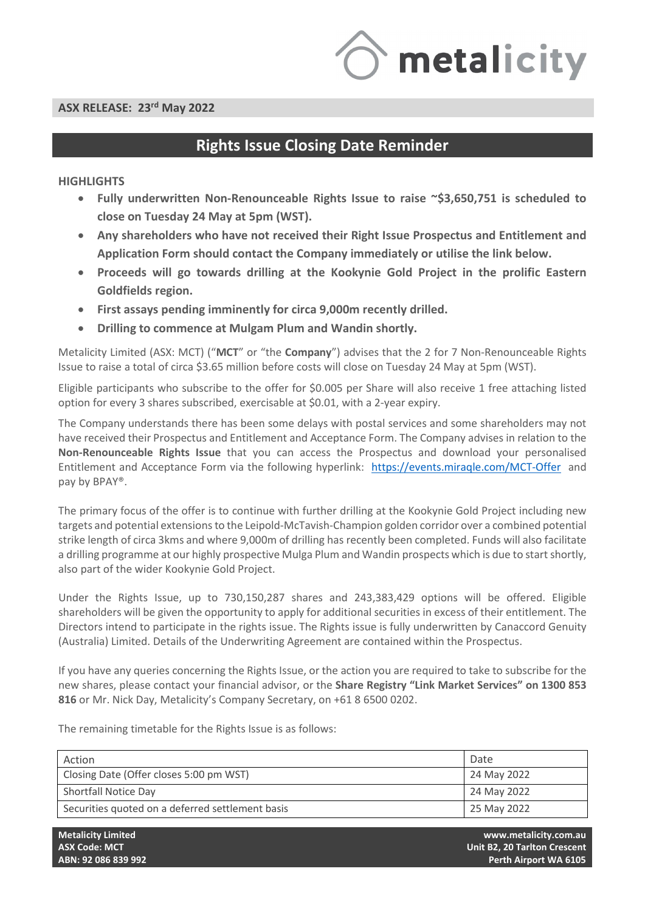

# **ASX RELEASE: 23rd May 2022**

# **Rights Issue Closing Date Reminder**

# **HIGHLIGHTS**

- **Fully underwritten Non-Renounceable Rights Issue to raise ~\$3,650,751 is scheduled to close on Tuesday 24 May at 5pm (WST).**
- **Any shareholders who have not received their Right Issue Prospectus and Entitlement and Application Form should contact the Company immediately or utilise the link below.**
- **Proceeds will go towards drilling at the Kookynie Gold Project in the prolific Eastern Goldfields region.**
- **First assays pending imminently for circa 9,000m recently drilled.**
- **Drilling to commence at Mulgam Plum and Wandin shortly.**

Metalicity Limited (ASX: MCT) ("**MCT**" or "the **Company**") advises that the 2 for 7 Non-Renounceable Rights Issue to raise a total of circa \$3.65 million before costs will close on Tuesday 24 May at 5pm (WST).

Eligible participants who subscribe to the offer for \$0.005 per Share will also receive 1 free attaching listed option for every 3 shares subscribed, exercisable at \$0.01, with a 2-year expiry.

The Company understands there has been some delays with postal services and some shareholders may not have received their Prospectus and Entitlement and Acceptance Form. The Company advises in relation to the **Non-Renounceable Rights Issue** that you can access the Prospectus and download your personalised Entitlement and Acceptance Form via the following hyperlink: <https://events.miraqle.com/MCT-Offer>and pay by BPAY®.

The primary focus of the offer is to continue with further drilling at the Kookynie Gold Project including new targets and potential extensions to the Leipold-McTavish-Champion golden corridor over a combined potential strike length of circa 3kms and where 9,000m of drilling has recently been completed. Funds will also facilitate a drilling programme at our highly prospective Mulga Plum and Wandin prospects which is due to start shortly, also part of the wider Kookynie Gold Project.

Under the Rights Issue, up to 730,150,287 shares and 243,383,429 options will be offered. Eligible shareholders will be given the opportunity to apply for additional securities in excess of their entitlement. The Directors intend to participate in the rights issue. The Rights issue is fully underwritten by Canaccord Genuity (Australia) Limited. Details of the Underwriting Agreement are contained within the Prospectus.

If you have any queries concerning the Rights Issue, or the action you are required to take to subscribe for the new shares, please contact your financial advisor, or the **Share Registry "Link Market Services" on 1300 853 816** or Mr. Nick Day, Metalicity's Company Secretary, on +61 8 6500 0202.

The remaining timetable for the Rights Issue is as follows:

| Action                                           | Date        |
|--------------------------------------------------|-------------|
| Closing Date (Offer closes 5:00 pm WST)          | 24 May 2022 |
| Shortfall Notice Day                             | 24 May 2022 |
| Securities quoted on a deferred settlement basis | 25 May 2022 |

**Metalicity Limited www.metalicity.com.au ASX Code: MCT Unit B2, 20 Tarlton Crescent ABN: 92 086 839 992 Perth Airport WA 6105**